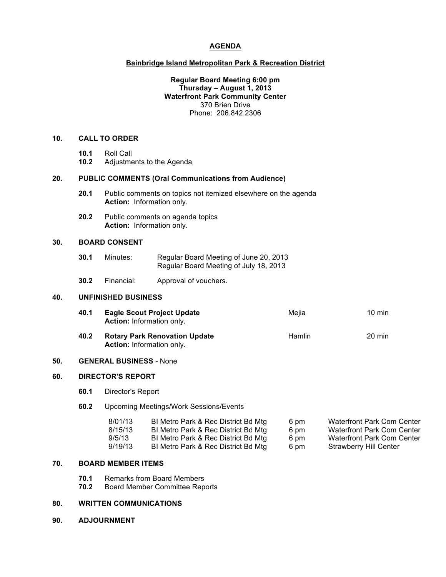# **AGENDA**

# **Bainbridge Island Metropolitan Park & Recreation District**

## **Regular Board Meeting 6:00 pm Thursday – August 1, 2013 Waterfront Park Community Center** 370 Brien Drive Phone: 206.842.2306

## **10. CALL TO ORDER**

- **10.1** Roll Call
- **10.2** Adjustments to the Agenda

#### **20. PUBLIC COMMENTS (Oral Communications from Audience)**

- **20.1** Public comments on topics not itemized elsewhere on the agenda **Action:** Information only.
- **20.2** Public comments on agenda topics **Action:** Information only.

#### **30. BOARD CONSENT**

| 30.1 | Minutes: | Regular Board Meeting of June 20, 2013 |
|------|----------|----------------------------------------|
|      |          | Regular Board Meeting of July 18, 2013 |

**30.2** Financial: Approval of vouchers.

#### **40. UNFINISHED BUSINESS**

| 40.1 | <b>Eagle Scout Project Update</b><br><b>Action:</b> Information only.    | Meiia  | $10 \text{ min}$ |
|------|--------------------------------------------------------------------------|--------|------------------|
| 40.2 | <b>Rotary Park Renovation Update</b><br><b>Action:</b> Information only. | Hamlin | $20 \text{ min}$ |

#### **50. GENERAL BUSINESS** - None

## **60. DIRECTOR'S REPORT**

**60.1** Director's Report

#### **60.2** Upcoming Meetings/Work Sessions/Events

| 8/01/13 | BI Metro Park & Rec District Bd Mtg | 6 pm | Waterfront Park Com Center |
|---------|-------------------------------------|------|----------------------------|
| 8/15/13 | BI Metro Park & Rec District Bd Mtg | 6 pm | Waterfront Park Com Center |
| 9/5/13  | BI Metro Park & Rec District Bd Mtg | 6 pm | Waterfront Park Com Center |
| 9/19/13 | BI Metro Park & Rec District Bd Mtg | 6 pm | Strawberry Hill Center     |

#### **70. BOARD MEMBER ITEMS**

- **70.1** Remarks from Board Members
- **70.2** Board Member Committee Reports

# **80. WRITTEN COMMUNICATIONS**

**90. ADJOURNMENT**